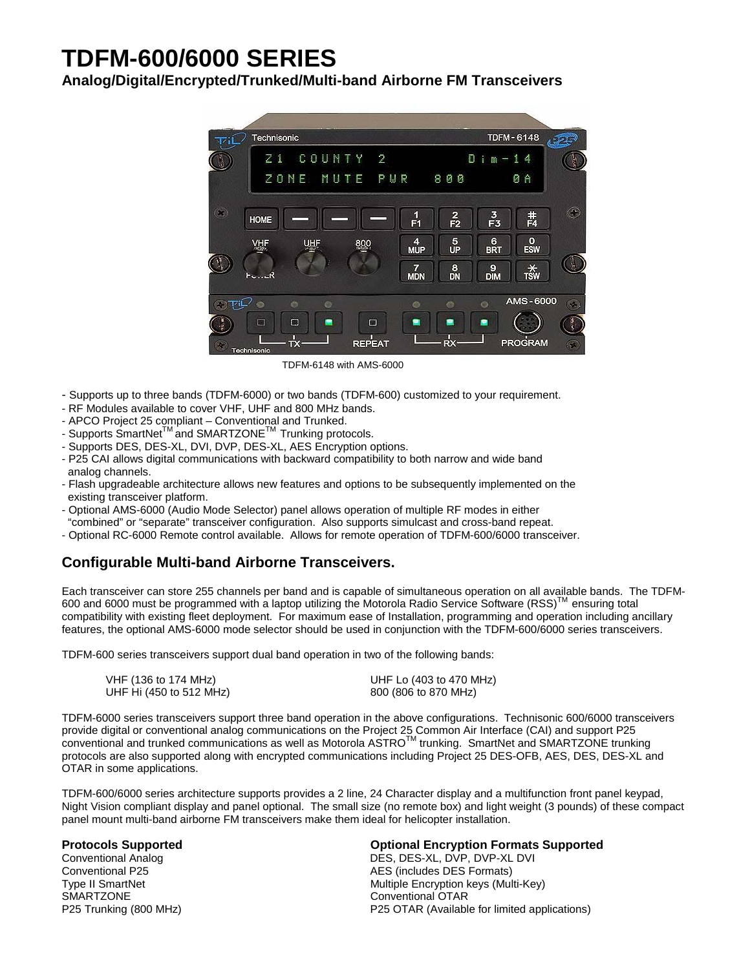# **TDFM-600/6000 SERIES**

# **Analog/Digital/Encrypted/Trunked/Multi-band Airborne FM Transceivers**



TDFM-6148 with AMS-6000

- Supports up to three bands (TDFM-6000) or two bands (TDFM-600) customized to your requirement.
- RF Modules available to cover VHF, UHF and 800 MHz bands.
- APCO Project 25 compliant Conventional and Trunked.
- Supports SmartNet<sup>™</sup> and SMARTZONE<sup>™</sup> Trunking protocols.
- Supports DES, DES-XL, DVI, DVP, DES-XL, AES Encryption options.
- P25 CAI allows digital communications with backward compatibility to both narrow and wide band analog channels.
- Flash upgradeable architecture allows new features and options to be subsequently implemented on the existing transceiver platform.
- Optional AMS-6000 (Audio Mode Selector) panel allows operation of multiple RF modes in either "combined" or "separate" transceiver configuration. Also supports simulcast and cross-band repeat.
- Optional RC-6000 Remote control available. Allows for remote operation of TDFM-600/6000 transceiver.

# **Configurable Multi-band Airborne Transceivers.**

Each transceiver can store 255 channels per band and is capable of simultaneous operation on all available bands. The TDFM-600 and 6000 must be programmed with a laptop utilizing the Motorola Radio Service Software (RSS)<sup>TM</sup> ensuring total compatibility with existing fleet deployment. For maximum ease of Installation, programming and operation including ancillary features, the optional AMS-6000 mode selector should be used in conjunction with the TDFM-600/6000 series transceivers.

TDFM-600 series transceivers support dual band operation in two of the following bands:

| VHF (136 to 174 MHz)    | UHF Lo (403 to 470 MHz) |
|-------------------------|-------------------------|
| UHF Hi (450 to 512 MHz) | 800 (806 to 870 MHz)    |

TDFM-6000 series transceivers support three band operation in the above configurations. Technisonic 600/6000 transceivers provide digital or conventional analog communications on the Project 25 Common Air Interface (CAI) and support P25  $\overline{\rm c}$ onventional and trunked communications as well as Motorola ASTRO<sup>TM</sup> trunking. SmartNet and SMARTZONE trunking protocols are also supported along with encrypted communications including Project 25 DES-OFB, AES, DES, DES-XL and OTAR in some applications.

TDFM-600/6000 series architecture supports provides a 2 line, 24 Character display and a multifunction front panel keypad, Night Vision compliant display and panel optional. The small size (no remote box) and light weight (3 pounds) of these compact panel mount multi-band airborne FM transceivers make them ideal for helicopter installation.

SMARTZONE Conventional OTAR

### **Protocols Supported Optional Encryption Formats Supported**

Conventional Analog **DES, DES-XL, DVP, DVP-XL DVI** Conventional P25 **AES** (includes DES Formats) Type II SmartNet Multiple Encryption keys (Multi-Key) P25 Trunking (800 MHz) P25 OTAR (Available for limited applications)